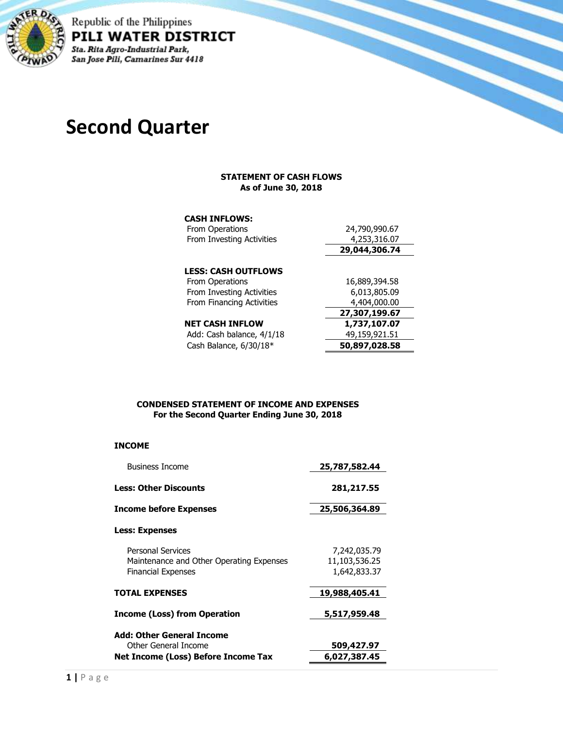

Republic of the Philippines PILI WATER DISTRICT Sta. Rita Agro-Industrial Park, San Jose Pili, Camarines Sur 4418

# **Second Quarter**

#### **STATEMENT OF CASH FLOWS As of June 30, 2018**

#### **CASH INFLOWS:**

| <b>From Operations</b>     | 24,790,990.67 |
|----------------------------|---------------|
| From Investing Activities  | 4,253,316.07  |
|                            | 29,044,306.74 |
|                            |               |
| <b>LESS: CASH OUTFLOWS</b> |               |
| From Operations            | 16,889,394.58 |
| From Investing Activities  | 6,013,805.09  |
| From Financing Activities  | 4,404,000.00  |
|                            | 27,307,199.67 |
| <b>NET CASH INFLOW</b>     | 1,737,107.07  |
| Add: Cash balance, 4/1/18  | 49,159,921.51 |
| Cash Balance, $6/30/18*$   | 50,897,028.58 |

#### **CONDENSED STATEMENT OF INCOME AND EXPENSES For the Second Quarter Ending June 30, 2018**

#### **INCOME**

| <b>Business Income</b>                                                                            | 25,787,582.44                                 |
|---------------------------------------------------------------------------------------------------|-----------------------------------------------|
| <b>Less: Other Discounts</b>                                                                      | 281,217.55                                    |
| Income before Expenses                                                                            | 25,506,364.89                                 |
| Less: Expenses                                                                                    |                                               |
| <b>Personal Services</b><br>Maintenance and Other Operating Expenses<br><b>Financial Expenses</b> | 7,242,035.79<br>11,103,536.25<br>1,642,833.37 |
| <b>TOTAL EXPENSES</b>                                                                             | 19,988,405.41                                 |
| Income (Loss) from Operation                                                                      | 5,517,959.48                                  |
| Add: Other General Income<br>Other General Income                                                 | 509,427.97                                    |
| Net Income (Loss) Before Income Tax                                                               | 6,027,387.45                                  |